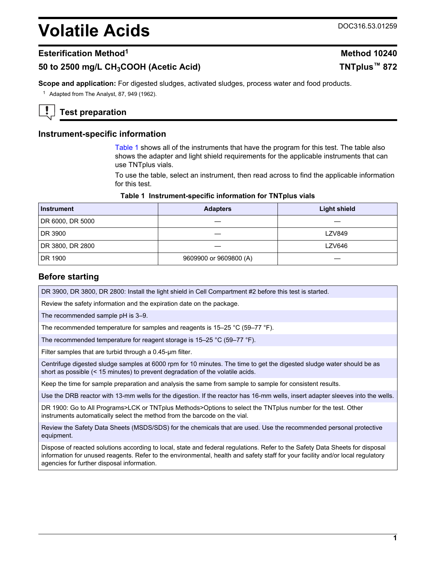# <span id="page-0-0"></span>**Volatile Acids** DOC316.53.01259

## **Esterification Method<sup>1</sup> Method 10240**

# **50 to 2500 mg/L CH3COOH (Acetic Acid) TNTplus™ 872**

**Scope and application:** For digested sludges, activated sludges, process water and food products.

<sup>1</sup> Adapted from The Analyst, 87, 949 (1962).

# **Test preparation**

## **Instrument-specific information**

Table 1 shows all of the instruments that have the program for this test. The table also shows the adapter and light shield requirements for the applicable instruments that can use TNTplus vials.

To use the table, select an instrument, then read across to find the applicable information for this test.

#### **Table 1 Instrument-specific information for TNTplus vials**

| <b>Instrument</b> | <b>Adapters</b>        | <b>Light shield</b> |
|-------------------|------------------------|---------------------|
| DR 6000, DR 5000  |                        |                     |
| DR 3900           |                        | <b>LZV849</b>       |
| DR 3800, DR 2800  |                        | <b>LZV646</b>       |
| DR 1900           | 9609900 or 9609800 (A) |                     |

## **Before starting**

DR 3900, DR 3800, DR 2800: Install the light shield in Cell Compartment #2 before this test is started.

Review the safety information and the expiration date on the package.

The recommended sample pH is 3–9.

The recommended temperature for samples and reagents is 15–25 °C (59–77 °F).

The recommended temperature for reagent storage is 15–25 °C (59–77 °F).

Filter samples that are turbid through a 0.45-µm filter.

Centrifuge digested sludge samples at 6000 rpm for 10 minutes. The time to get the digested sludge water should be as short as possible (< 15 minutes) to prevent degradation of the volatile acids.

Keep the time for sample preparation and analysis the same from sample to sample for consistent results.

Use the DRB reactor with 13-mm wells for the digestion. If the reactor has 16-mm wells, insert adapter sleeves into the wells.

DR 1900: Go to All Programs>LCK or TNTplus Methods>Options to select the TNTplus number for the test. Other instruments automatically select the method from the barcode on the vial.

Review the Safety Data Sheets (MSDS/SDS) for the chemicals that are used. Use the recommended personal protective equipment.

Dispose of reacted solutions according to local, state and federal regulations. Refer to the Safety Data Sheets for disposal information for unused reagents. Refer to the environmental, health and safety staff for your facility and/or local regulatory agencies for further disposal information.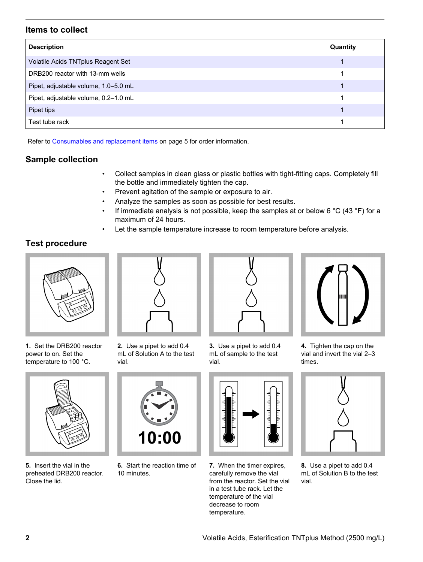# **Items to collect**

| <b>Description</b>                   | Quantity |
|--------------------------------------|----------|
| Volatile Acids TNTplus Reagent Set   |          |
| DRB200 reactor with 13-mm wells      |          |
| Pipet, adjustable volume, 1.0-5.0 mL |          |
| Pipet, adjustable volume, 0.2-1.0 mL |          |
| Pipet tips                           |          |
| Test tube rack                       |          |

Refer to [Consumables and replacement items](#page-4-0) on page 5 for order information.

# **Sample collection**

- Collect samples in clean glass or plastic bottles with tight-fitting caps. Completely fill the bottle and immediately tighten the cap.
- Prevent agitation of the sample or exposure to air.
- Analyze the samples as soon as possible for best results.
- If immediate analysis is not possible, keep the samples at or below 6 °C (43 °F) for a maximum of 24 hours.
- Let the sample temperature increase to room temperature before analysis.

# **Test procedure**



**1.** Set the DRB200 reactor power to on. Set the temperature to 100 °C.



**5.** Insert the vial in the preheated DRB200 reactor. Close the lid.



**2.** Use a pipet to add 0.4 mL of Solution A to the test

**6.** Start the reaction time of

10:00

10 minutes.

vial.



**3.** Use a pipet to add 0.4 mL of sample to the test vial.



**7.** When the timer expires, carefully remove the vial from the reactor. Set the vial in a test tube rack. Let the temperature of the vial decrease to room temperature.



**4.** Tighten the cap on the vial and invert the vial 2–3 times.



**8.** Use a pipet to add 0.4 mL of Solution B to the test vial.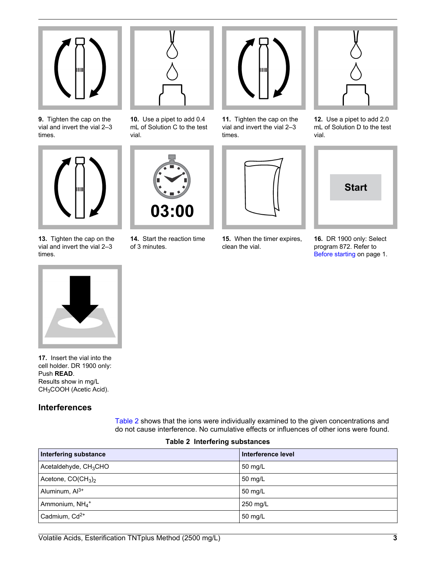

**9.** Tighten the cap on the vial and invert the vial 2–3 times.



**13.** Tighten the cap on the vial and invert the vial 2–3 times.



**10.** Use a pipet to add 0.4 mL of Solution C to the test vial.



**14.** Start the reaction time of 3 minutes.



**11.** Tighten the cap on the vial and invert the vial 2–3 times.



**15.** When the timer expires, clean the vial.



**12.** Use a pipet to add 2.0 mL of Solution D to the test vial.



**16.** DR 1900 only: Select program 872. Refer to [Before starting](#page-0-0) on page 1.



**17.** Insert the vial into the cell holder. DR 1900 only: Push **READ**. Results show in mg/L CH3COOH (Acetic Acid).

# **Interferences**

Table 2 shows that the ions were individually examined to the given concentrations and do not cause interference. No cumulative effects or influences of other ions were found.

#### **Table 2 Interfering substances**

| Interfering substance         | Interference level |
|-------------------------------|--------------------|
| Acetaldehyde, $CH3CHO$        | 50 mg/L            |
| Acetone, $CO(CH_3)_2$         | 50 mg/L            |
| Aluminum, Al <sup>3+</sup>    | 50 mg/L            |
| Ammonium, $NH_4$ <sup>+</sup> | 250 mg/L           |
| Cadmium, Cd <sup>2+</sup>     | 50 mg/L            |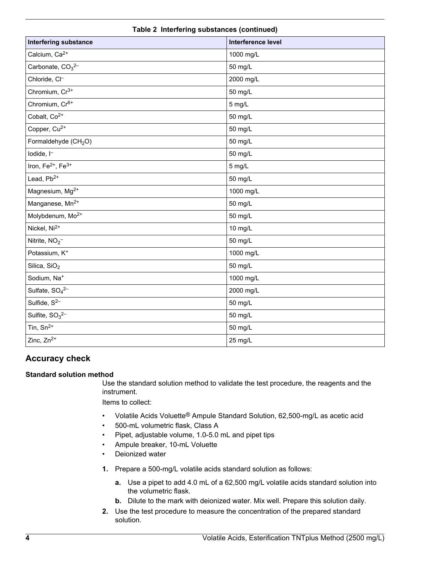| <b>Interfering substance</b>              | Interference level |
|-------------------------------------------|--------------------|
| Calcium, Ca <sup>2+</sup>                 | 1000 mg/L          |
| Carbonate, CO <sub>3</sub> <sup>2-</sup>  | 50 mg/L            |
| Chloride, Cl-                             | 2000 mg/L          |
| Chromium, Cr <sup>3+</sup>                | 50 mg/L            |
| Chromium, Cr <sup>6+</sup>                | 5 mg/L             |
| Cobalt, Co <sup>2+</sup>                  | 50 mg/L            |
| Copper, Cu <sup>2+</sup>                  | 50 mg/L            |
| Formaldehyde (CH <sub>2</sub> O)          | 50 mg/L            |
| lodide, I <sup>-</sup>                    | 50 mg/L            |
| Iron, Fe <sup>2+</sup> , Fe <sup>3+</sup> | 5 mg/L             |
| Lead, Pb <sup>2+</sup>                    | 50 mg/L            |
| Magnesium, Mg <sup>2+</sup>               | 1000 mg/L          |
| Manganese, Mn <sup>2+</sup>               | 50 mg/L            |
| Molybdenum, Mo <sup>2+</sup>              | 50 mg/L            |
| Nickel, Ni <sup>2+</sup>                  | 10 mg/L            |
| Nitrite, NO <sub>2</sub> -                | 50 mg/L            |
| Potassium, K <sup>+</sup>                 | 1000 mg/L          |
| Silica, $SiO2$                            | 50 mg/L            |
| Sodium, Na <sup>+</sup>                   | 1000 mg/L          |
| Sulfate, $SO_4^{2-}$                      | 2000 mg/L          |
| Sulfide, $S^{2-}$                         | 50 mg/L            |
| Sulfite, $SO_3^{2-}$                      | 50 mg/L            |
| Tin, $Sn^{2+}$                            | 50 mg/L            |
| Zinc, Zn <sup>2+</sup>                    | 25 mg/L            |

## **Table 2 Interfering substances (continued)**

# **Accuracy check**

### **Standard solution method**

Use the standard solution method to validate the test procedure, the reagents and the instrument.

Items to collect:

- Volatile Acids Voluette® Ampule Standard Solution, 62,500-mg/L as acetic acid
- 500-mL volumetric flask, Class A
- Pipet, adjustable volume, 1.0-5.0 mL and pipet tips
- Ampule breaker, 10-mL Voluette
- Deionized water
- **1.** Prepare a 500-mg/L volatile acids standard solution as follows:
	- **a.** Use a pipet to add 4.0 mL of a 62,500 mg/L volatile acids standard solution into the volumetric flask.
	- **b.** Dilute to the mark with deionized water. Mix well. Prepare this solution daily.
- **2.** Use the test procedure to measure the concentration of the prepared standard solution.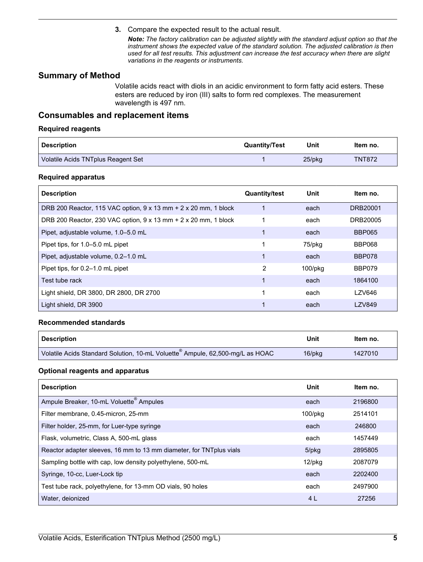**3.** Compare the expected result to the actual result.

*Note: The factory calibration can be adjusted slightly with the standard adjust option so that the instrument shows the expected value of the standard solution. The adjusted calibration is then used for all test results. This adjustment can increase the test accuracy when there are slight variations in the reagents or instruments.*

# <span id="page-4-0"></span>**Summary of Method**

Volatile acids react with diols in an acidic environment to form fatty acid esters. These esters are reduced by iron (III) salts to form red complexes. The measurement wavelength is 497 nm.

## **Consumables and replacement items**

#### **Required reagents**

| <b>Description</b>                 | <b>Quantity/Test</b> | Unit      | Item no.      |
|------------------------------------|----------------------|-----------|---------------|
| Volatile Acids TNTplus Reagent Set |                      | $25$ /pkg | <b>TNT872</b> |

#### **Required apparatus**

| <b>Description</b>                                                            | <b>Quantity/test</b> | Unit    | ltem no.      |
|-------------------------------------------------------------------------------|----------------------|---------|---------------|
| DRB 200 Reactor, 115 VAC option, $9 \times 13$ mm + 2 $\times$ 20 mm, 1 block |                      | each    | DRB20001      |
| DRB 200 Reactor, 230 VAC option, 9 x 13 mm + 2 x 20 mm, 1 block               |                      | each    | DRB20005      |
| Pipet, adjustable volume, 1.0–5.0 mL                                          |                      | each    | <b>BBP065</b> |
| Pipet tips, for 1.0-5.0 mL pipet                                              |                      | 75/pkg  | <b>BBP068</b> |
| Pipet, adjustable volume, 0.2-1.0 mL                                          |                      | each    | <b>BBP078</b> |
| Pipet tips, for 0.2–1.0 mL pipet                                              | 2                    | 100/pkg | <b>BBP079</b> |
| Test tube rack                                                                |                      | each    | 1864100       |
| Light shield, DR 3800, DR 2800, DR 2700                                       |                      | each    | <b>LZV646</b> |
| Light shield, DR 3900                                                         |                      | each    | <b>LZV849</b> |

#### **Recommended standards**

| <b>Description</b>                                                           | Unit   | Item no. |
|------------------------------------------------------------------------------|--------|----------|
| Volatile Acids Standard Solution, 10-mL Voluette Ampule, 62,500-mg/L as HOAC | 16/pkg | 1427010  |

#### **Optional reagents and apparatus**

| <b>Description</b>                                                   | Unit      | Item no. |
|----------------------------------------------------------------------|-----------|----------|
| Ampule Breaker, 10-mL Voluette <sup>®</sup> Ampules                  | each      | 2196800  |
| Filter membrane, 0.45-micron, 25-mm                                  | 100/pkg   | 2514101  |
| Filter holder, 25-mm, for Luer-type syringe                          | each      | 246800   |
| Flask, volumetric, Class A, 500-mL glass                             | each      | 1457449  |
| Reactor adapter sleeves, 16 mm to 13 mm diameter, for TNT plus vials | 5/pkg     | 2895805  |
| Sampling bottle with cap, low density polyethylene, 500-mL           | $12$ /pkq | 2087079  |
| Syringe, 10-cc, Luer-Lock tip                                        | each      | 2202400  |
| Test tube rack, polyethylene, for 13-mm OD vials, 90 holes           | each      | 2497900  |
| Water, deionized                                                     | 4 L       | 27256    |